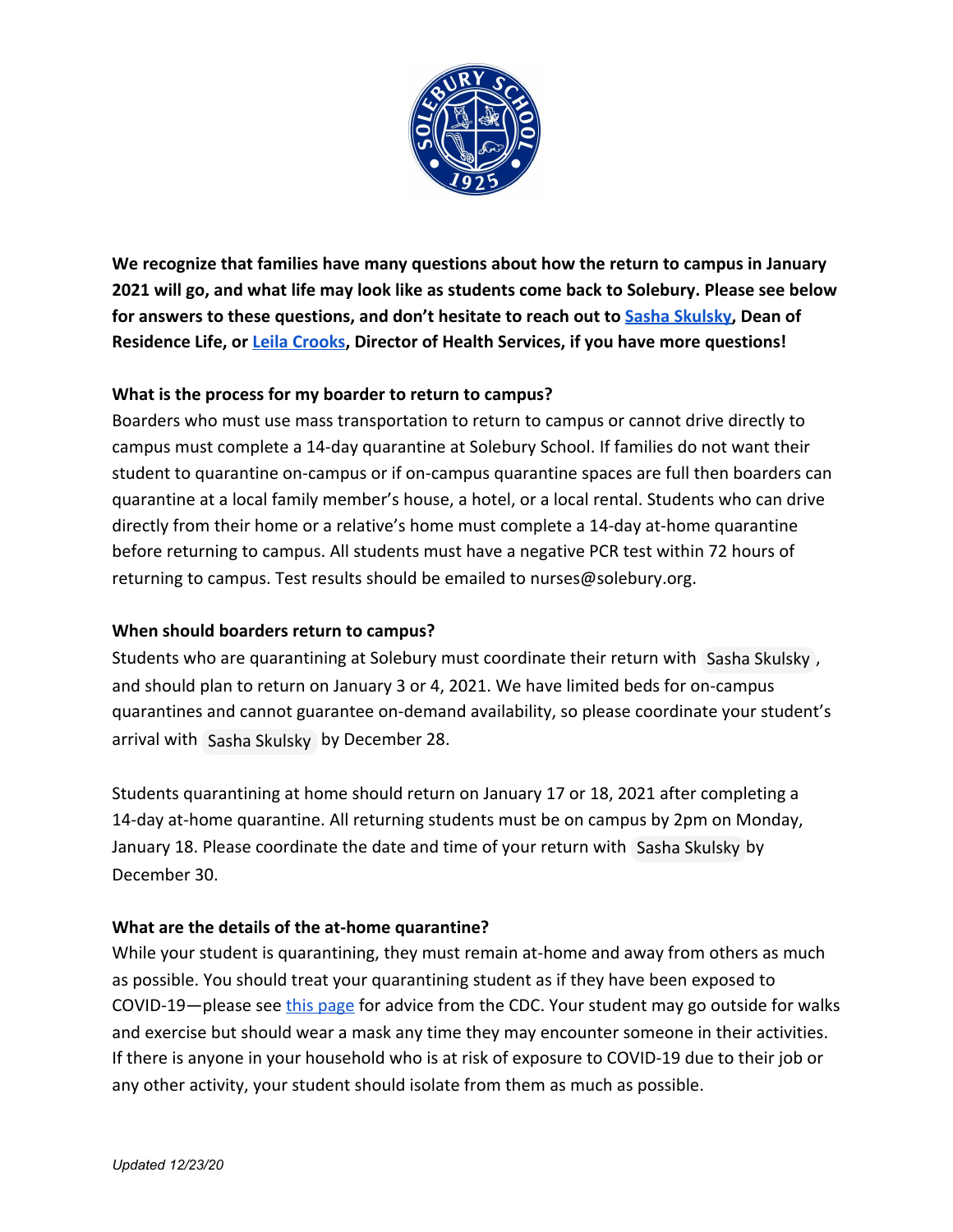

**We recognize that families have many questions about how the return to campus in January 2021 will go, and what life may look like as students come back to Solebury. Please see below for answers to these questions, and don't hesitate to reach out to [Sasha Skulsky](mailto:sskulsky@solebury.org), Dean of Residence Life, or [Leila Crooks](mailto:nurses@solebury.org), Director of Health Services, if you have more questions!**

# **What is the process for my boarder to return to campus?**

Boarders who must use mass transportation to return to campus or cannot drive directly to campus must complete a 14-day quarantine at Solebury School. If families do not want their student to quarantine on-campus or if on-campus quarantine spaces are full then boarders can quarantine at a local family member's house, a hotel, or a local rental. Students who can drive directly from their home or a relative's home must complete a 14-day at-home quarantine before returning to campus. All students must have a negative PCR test within 72 hours of returning to campus. Test results should be emailed to nurses@solebury.org.

# **When should boarders return to campus?**

Students who are quarantining at Solebury must coordinate their return with Sasha Skulsky, and should plan to return on January 3 or 4, 2021. We have limited beds for on-campus quarantines and cannot guarantee on-demand availability, so please coordinate your student's arrival with Sasha Skulsky by December 28.

Students quarantining at home should return on January 17 or 18, 2021 after completing a 14-day at-home quarantine. All returning students must be on campus by 2pm on Monday, January 18. Please coordinate the date and time of your return with Sasha Skulsky by December 30.

# **What are the details of the at-home quarantine?**

While your student is quarantining, they must remain at-home and away from others as much as possible. You should treat your quarantining student as if they have been exposed to COVID-19—please see [this page](https://www.cdc.gov/coronavirus/2019-ncov/if-you-are-sick/quarantine.html) for advice from the CDC. Your student may go outside for walks and exercise but should wear a mask any time they may encounter someone in their activities. If there is anyone in your household who is at risk of exposure to COVID-19 due to their job or any other activity, your student should isolate from them as much as possible.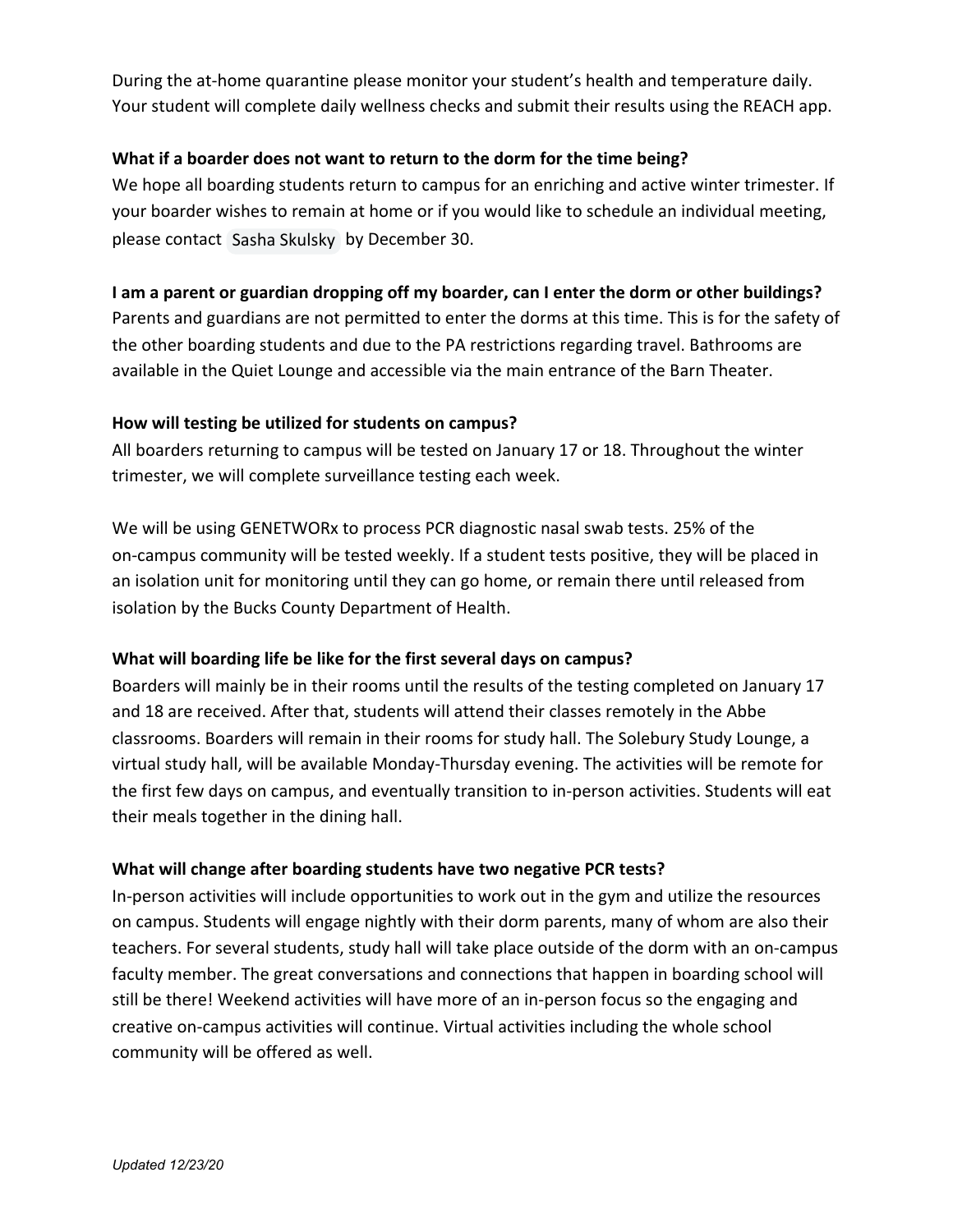During the at-home quarantine please monitor your student's health and temperature daily. Your student will complete daily wellness checks and submit their results using the REACH app.

### **What if a boarder does not want to return to the dorm for the time being?**

We hope all boarding students return to campus for an enriching and active winter trimester. If your boarder wishes to remain at home or if you would like to schedule an individual meeting, please contact Sasha Skulsky by December 30.

#### **I am a parent or guardian dropping off my boarder, can I enter the dorm or other buildings?**

Parents and guardians are not permitted to enter the dorms at this time. This is for the safety of the other boarding students and due to the PA restrictions regarding travel. Bathrooms are available in the Quiet Lounge and accessible via the main entrance of the Barn Theater.

#### **How will testing be utilized for students on campus?**

All boarders returning to campus will be tested on January 17 or 18. Throughout the winter trimester, we will complete surveillance testing each week.

We will be using GENETWORx to process PCR diagnostic nasal swab tests. 25% of the on-campus community will be tested weekly. If a student tests positive, they will be placed in an isolation unit for monitoring until they can go home, or remain there until released from isolation by the Bucks County Department of Health.

# **What will boarding life be like for the first several days on campus?**

Boarders will mainly be in their rooms until the results of the testing completed on January 17 and 18 are received. After that, students will attend their classes remotely in the Abbe classrooms. Boarders will remain in their rooms for study hall. The Solebury Study Lounge, a virtual study hall, will be available Monday-Thursday evening. The activities will be remote for the first few days on campus, and eventually transition to in-person activities. Students will eat their meals together in the dining hall.

#### **What will change after boarding students have two negative PCR tests?**

In-person activities will include opportunities to work out in the gym and utilize the resources on campus. Students will engage nightly with their dorm parents, many of whom are also their teachers. For several students, study hall will take place outside of the dorm with an on-campus faculty member. The great conversations and connections that happen in boarding school will still be there! Weekend activities will have more of an in-person focus so the engaging and creative on-campus activities will continue. Virtual activities including the whole school community will be offered as well.